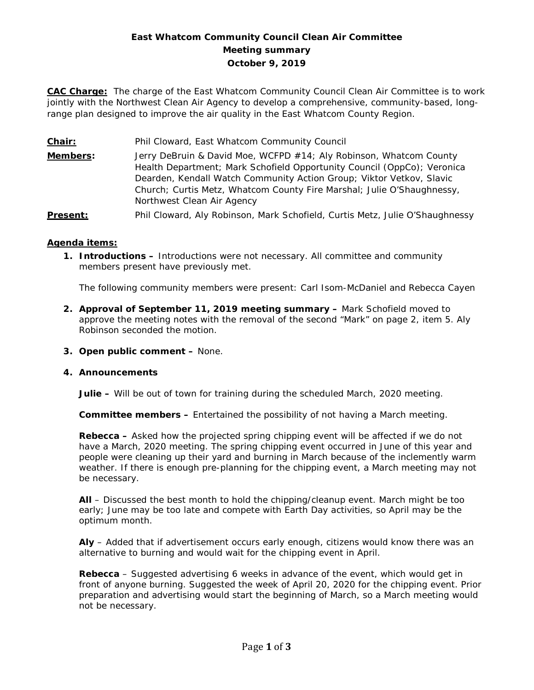# **East Whatcom Community Council Clean Air Committee Meeting summary October 9, 2019**

**CAC Charge:** The charge of the East Whatcom Community Council Clean Air Committee is to work jointly with the Northwest Clean Air Agency to develop a comprehensive, community-based, longrange plan designed to improve the air quality in the East Whatcom County Region.

**Chair:** Phil Cloward, East Whatcom Community Council

**Members:** Jerry DeBruin & David Moe, WCFPD #14; Aly Robinson, Whatcom County Health Department; Mark Schofield Opportunity Council (OppCo); Veronica Dearden, Kendall Watch Community Action Group; Viktor Vetkov, Slavic Church; Curtis Metz, Whatcom County Fire Marshal; Julie O'Shaughnessy, Northwest Clean Air Agency

Present: Phil Cloward, Aly Robinson, Mark Schofield, Curtis Metz, Julie O'Shaughnessy

#### **Agenda items:**

**1. Introductions –** Introductions were not necessary. All committee and community members present have previously met.

The following community members were present: Carl Isom-McDaniel and Rebecca Cayen

- **2. Approval of September 11, 2019 meeting summary –** Mark Schofield moved to approve the meeting notes with the removal of the second "Mark" on page 2, item 5. Aly Robinson seconded the motion.
- **3. Open public comment –** None.

#### **4. Announcements**

**Julie –** Will be out of town for training during the scheduled March, 2020 meeting.

**Committee members –** Entertained the possibility of not having a March meeting.

**Rebecca –** Asked how the projected spring chipping event will be affected if we do not have a March, 2020 meeting. The spring chipping event occurred in June of this year and people were cleaning up their yard and burning in March because of the inclemently warm weather. If there is enough pre-planning for the chipping event, a March meeting may not be necessary.

**All** – Discussed the best month to hold the chipping/cleanup event. March might be too early; June may be too late and compete with Earth Day activities, so April may be the optimum month.

**Aly** – Added that if advertisement occurs early enough, citizens would know there was an alternative to burning and would wait for the chipping event in April.

**Rebecca** – Suggested advertising 6 weeks in advance of the event, which would get in front of anyone burning. Suggested the week of April 20, 2020 for the chipping event. Prior preparation and advertising would start the beginning of March, so a March meeting would not be necessary.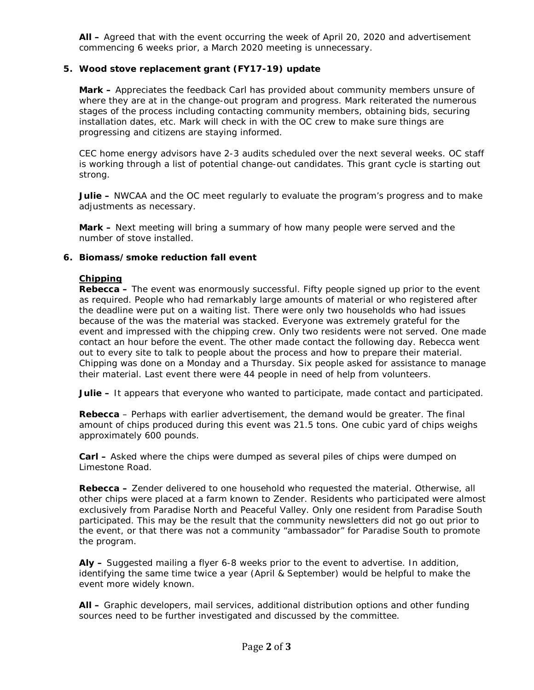**All –** Agreed that with the event occurring the week of April 20, 2020 and advertisement commencing 6 weeks prior, a March 2020 meeting is unnecessary.

## **5. Wood stove replacement grant (FY17-19) update**

**Mark –** Appreciates the feedback Carl has provided about community members unsure of where they are at in the change-out program and progress. Mark reiterated the numerous stages of the process including contacting community members, obtaining bids, securing installation dates, etc. Mark will check in with the OC crew to make sure things are progressing and citizens are staying informed.

CEC home energy advisors have 2-3 audits scheduled over the next several weeks. OC staff is working through a list of potential change-out candidates. This grant cycle is starting out strong.

**Julie –** NWCAA and the OC meet regularly to evaluate the program's progress and to make adjustments as necessary.

**Mark –** Next meeting will bring a summary of how many people were served and the number of stove installed.

#### **6. Biomass/smoke reduction fall event**

### **Chipping**

**Rebecca** – The event was enormously successful. Fifty people signed up prior to the event as required. People who had remarkably large amounts of material or who registered after the deadline were put on a waiting list. There were only two households who had issues because of the was the material was stacked. Everyone was extremely grateful for the event and impressed with the chipping crew. Only two residents were not served. One made contact an hour before the event. The other made contact the following day. Rebecca went out to every site to talk to people about the process and how to prepare their material. Chipping was done on a Monday and a Thursday. Six people asked for assistance to manage their material. Last event there were 44 people in need of help from volunteers.

**Julie –** It appears that everyone who wanted to participate, made contact and participated.

**Rebecca** – Perhaps with earlier advertisement, the demand would be greater. The final amount of chips produced during this event was 21.5 tons. One cubic yard of chips weighs approximately 600 pounds.

**Carl –** Asked where the chips were dumped as several piles of chips were dumped on Limestone Road.

**Rebecca –** Zender delivered to one household who requested the material. Otherwise, all other chips were placed at a farm known to Zender. Residents who participated were almost exclusively from Paradise North and Peaceful Valley. Only one resident from Paradise South participated. This may be the result that the community newsletters did not go out prior to the event, or that there was not a community "ambassador" for Paradise South to promote the program.

**Aly –** Suggested mailing a flyer 6-8 weeks prior to the event to advertise. In addition, identifying the same time twice a year (April & September) would be helpful to make the event more widely known.

**All –** Graphic developers, mail services, additional distribution options and other funding sources need to be further investigated and discussed by the committee.